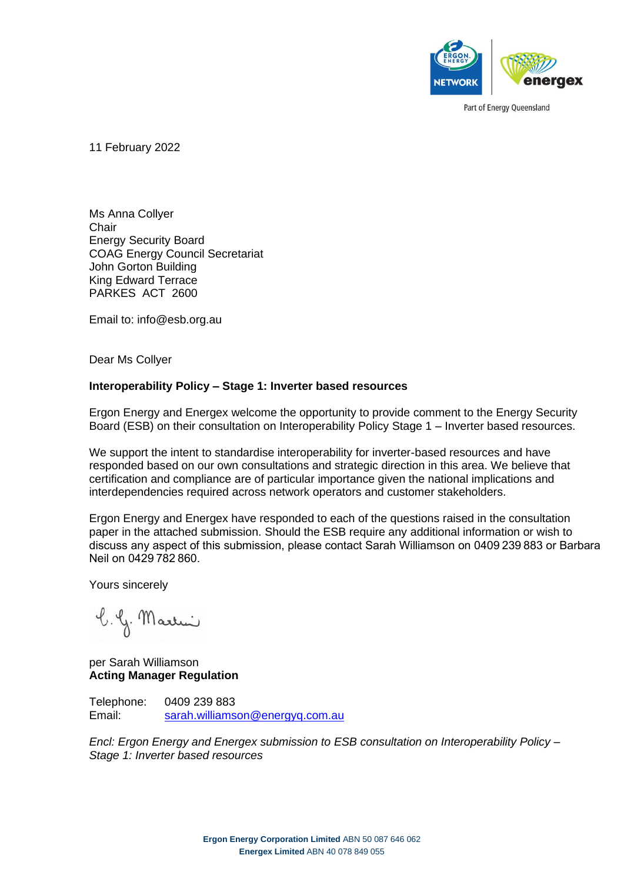

11 February 2022

Ms Anna Collyer **Chair** Energy Security Board COAG Energy Council Secretariat John Gorton Building King Edward Terrace PARKES ACT 2600

Email to: info@esb.org.au

Dear Ms Collyer

#### **Interoperability Policy – Stage 1: Inverter based resources**

Ergon Energy and Energex welcome the opportunity to provide comment to the Energy Security Board (ESB) on their consultation on Interoperability Policy Stage 1 – Inverter based resources.

We support the intent to standardise interoperability for inverter-based resources and have responded based on our own consultations and strategic direction in this area. We believe that certification and compliance are of particular importance given the national implications and interdependencies required across network operators and customer stakeholders.

Ergon Energy and Energex have responded to each of the questions raised in the consultation paper in the attached submission. Should the ESB require any additional information or wish to discuss any aspect of this submission, please contact Sarah Williamson on 0409 239 883 or Barbara Neil on 0429 782 860.

Yours sincerely

b. G. Martin

per Sarah Williamson **Acting Manager Regulation**

Telephone: 0409 239 883 Email: [sarah.williamson@energyq.com.au](mailto:sarah.williamson@energyq.com.au)

*Encl: Ergon Energy and Energex submission to ESB consultation on Interoperability Policy – Stage 1: Inverter based resources*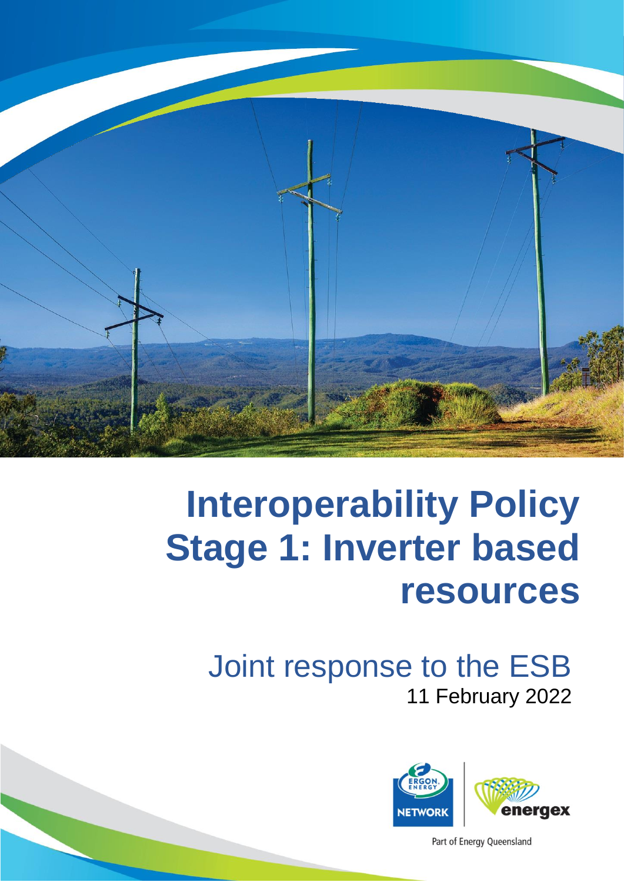

# **Interoperability Policy Stage 1: Inverter based resources**

# Joint response to the ESB 11 February 2022



Part of Energy Queensland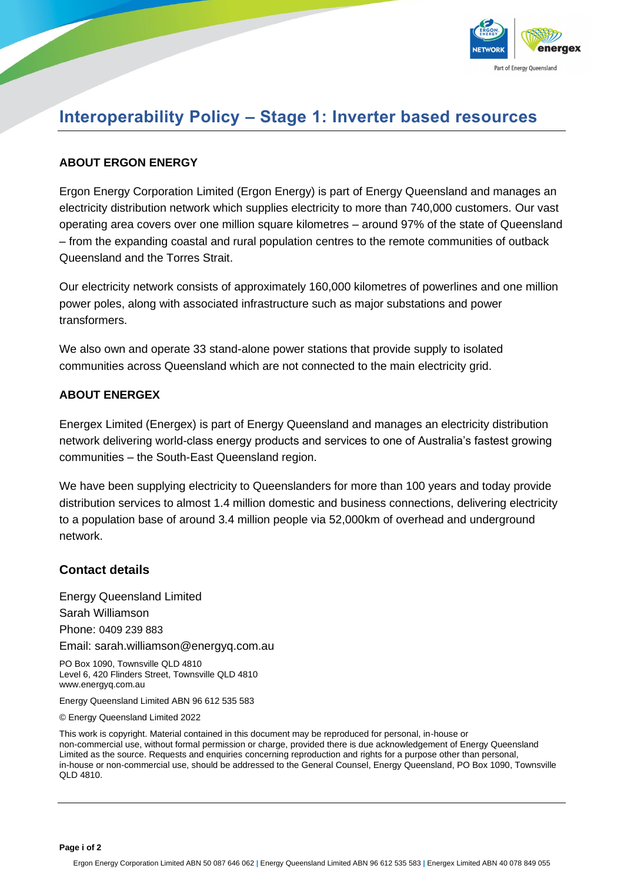

### **Interoperability Policy – Stage 1: Inverter based resources**

#### **ABOUT ERGON ENERGY**

Ergon Energy Corporation Limited (Ergon Energy) is part of Energy Queensland and manages an electricity distribution network which supplies electricity to more than 740,000 customers. Our vast operating area covers over one million square kilometres – around 97% of the state of Queensland – from the expanding coastal and rural population centres to the remote communities of outback Queensland and the Torres Strait.

Our electricity network consists of approximately 160,000 kilometres of powerlines and one million power poles, along with associated infrastructure such as major substations and power transformers.

We also own and operate 33 stand-alone power stations that provide supply to isolated communities across Queensland which are not connected to the main electricity grid.

#### **ABOUT ENERGEX**

Energex Limited (Energex) is part of Energy Queensland and manages an electricity distribution network delivering world-class energy products and services to one of Australia's fastest growing communities – the South-East Queensland region.

We have been supplying electricity to Queenslanders for more than 100 years and today provide distribution services to almost 1.4 million domestic and business connections, delivering electricity to a population base of around 3.4 million people via 52,000km of overhead and underground network.

#### **Contact details**

Energy Queensland Limited Sarah Williamson Phone: 0409 239 883 Email: [sarah.williamson@energyq.com.au](mailto:sarah.williamson@energyq.com.au)

PO Box 1090, Townsville QLD 4810 Level 6, 420 Flinders Street, Townsville QLD 4810 www.energyq.com.au

Energy Queensland Limited ABN 96 612 535 583

© Energy Queensland Limited 2022

This work is copyright. Material contained in this document may be reproduced for personal, in-house or non-commercial use, without formal permission or charge, provided there is due acknowledgement of Energy Queensland Limited as the source. Requests and enquiries concerning reproduction and rights for a purpose other than personal, in-house or non-commercial use, should be addressed to the General Counsel, Energy Queensland, PO Box 1090, Townsville QLD 4810.

**Page i of 2**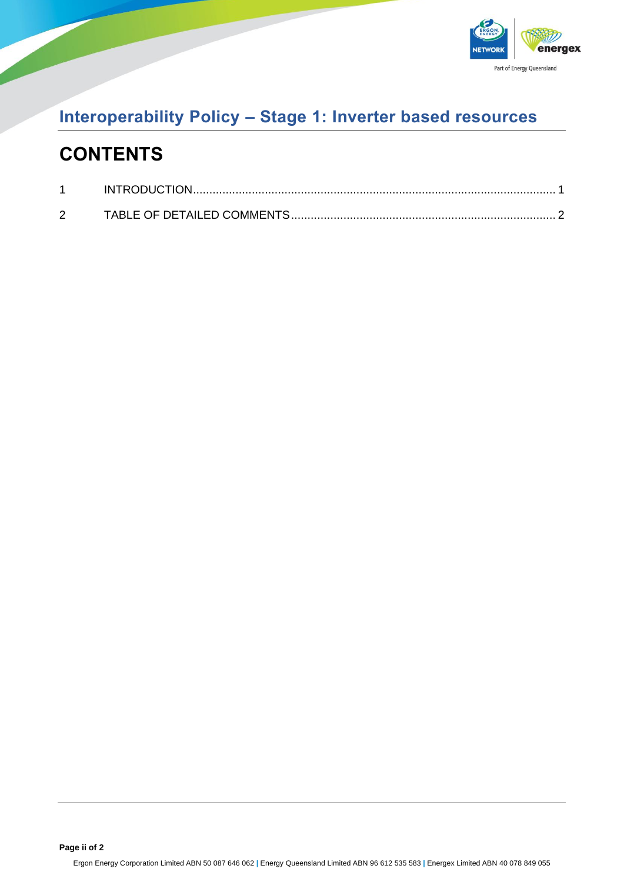

### **Interoperability Policy – Stage 1: Inverter based resources**

### **CONTENTS**

| INTRODUCTION |  |
|--------------|--|
|              |  |

**Page ii of 2**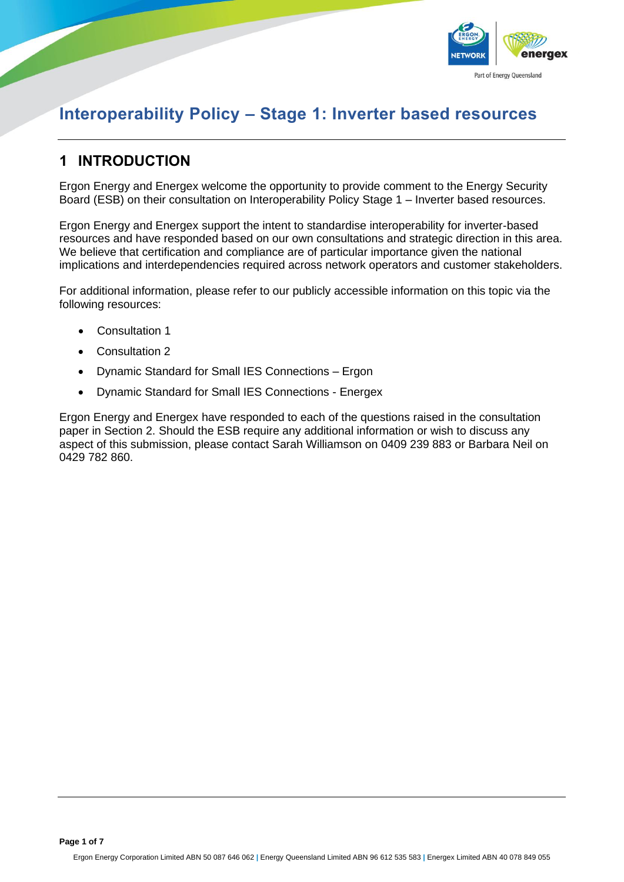

### **Interoperability Policy – Stage 1: Inverter based resources**

#### <span id="page-4-0"></span>**1 INTRODUCTION**

Ergon Energy and Energex welcome the opportunity to provide comment to the Energy Security Board (ESB) on their consultation on Interoperability Policy Stage 1 – Inverter based resources.

Ergon Energy and Energex support the intent to standardise interoperability for inverter-based resources and have responded based on our own consultations and strategic direction in this area. We believe that certification and compliance are of particular importance given the national implications and interdependencies required across network operators and customer stakeholders.

For additional information, please refer to our publicly accessible information on this topic via the following resources:

- [Consultation](https://www.talkingenergy.com.au/dynamicder) 1
- [Consultation 2](https://www.talkingenergy.com.au/dynamicconnections)
- Dynamic Standard for Small IES Connections [Ergon](https://www.ergon.com.au/__data/assets/pdf_file/0004/962779/STNW3510-Dynamic-Standard-for-Small-IES-Connections.pdf)
- Dynamic Standard for Small IES Connections [Energex](https://www.energex.com.au/__data/assets/pdf_file/0004/962779/STNW3510-Dynamic-Standard-for-Small-IES-Connections.pdf)

Ergon Energy and Energex have responded to each of the questions raised in the consultation paper in Section 2. Should the ESB require any additional information or wish to discuss any aspect of this submission, please contact Sarah Williamson on 0409 239 883 or Barbara Neil on 0429 782 860.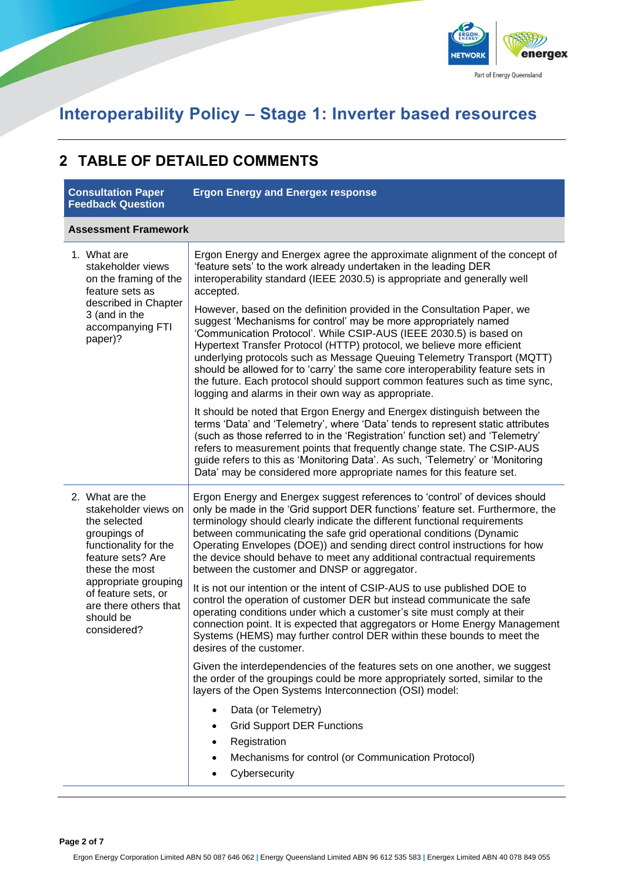

### **Interoperability Policy – Stage 1: Inverter based resources**

#### <span id="page-5-0"></span>**2 TABLE OF DETAILED COMMENTS**

| <b>Consultation Paper</b><br><b>Feedback Question</b>                                                                                   | <b>Ergon Energy and Energex response</b>                                                                                                                                                                                                                                                                                                                                                                                                                                                                                                                                                        |  |
|-----------------------------------------------------------------------------------------------------------------------------------------|-------------------------------------------------------------------------------------------------------------------------------------------------------------------------------------------------------------------------------------------------------------------------------------------------------------------------------------------------------------------------------------------------------------------------------------------------------------------------------------------------------------------------------------------------------------------------------------------------|--|
| <b>Assessment Framework</b>                                                                                                             |                                                                                                                                                                                                                                                                                                                                                                                                                                                                                                                                                                                                 |  |
| 1. What are<br>stakeholder views<br>on the framing of the<br>feature sets as                                                            | Ergon Energy and Energex agree the approximate alignment of the concept of<br>'feature sets' to the work already undertaken in the leading DER<br>interoperability standard (IEEE 2030.5) is appropriate and generally well<br>accepted.                                                                                                                                                                                                                                                                                                                                                        |  |
| described in Chapter<br>3 (and in the<br>accompanying FTI<br>paper)?                                                                    | However, based on the definition provided in the Consultation Paper, we<br>suggest 'Mechanisms for control' may be more appropriately named<br>'Communication Protocol'. While CSIP-AUS (IEEE 2030.5) is based on<br>Hypertext Transfer Protocol (HTTP) protocol, we believe more efficient<br>underlying protocols such as Message Queuing Telemetry Transport (MQTT)<br>should be allowed for to 'carry' the same core interoperability feature sets in<br>the future. Each protocol should support common features such as time sync,<br>logging and alarms in their own way as appropriate. |  |
|                                                                                                                                         | It should be noted that Ergon Energy and Energex distinguish between the<br>terms 'Data' and 'Telemetry', where 'Data' tends to represent static attributes<br>(such as those referred to in the 'Registration' function set) and 'Telemetry'<br>refers to measurement points that frequently change state. The CSIP-AUS<br>guide refers to this as 'Monitoring Data'. As such, 'Telemetry' or 'Monitoring<br>Data' may be considered more appropriate names for this feature set.                                                                                                              |  |
| 2. What are the<br>stakeholder views on<br>the selected<br>groupings of<br>functionality for the<br>feature sets? Are<br>these the most | Ergon Energy and Energex suggest references to 'control' of devices should<br>only be made in the 'Grid support DER functions' feature set. Furthermore, the<br>terminology should clearly indicate the different functional requirements<br>between communicating the safe grid operational conditions (Dynamic<br>Operating Envelopes (DOE)) and sending direct control instructions for how<br>the device should behave to meet any additional contractual requirements<br>between the customer and DNSP or aggregator.                                                                      |  |
| appropriate grouping<br>of feature sets, or<br>are there others that<br>should be<br>considered?                                        | It is not our intention or the intent of CSIP-AUS to use published DOE to<br>control the operation of customer DER but instead communicate the safe<br>operating conditions under which a customer's site must comply at their<br>connection point. It is expected that aggregators or Home Energy Management<br>Systems (HEMS) may further control DER within these bounds to meet the<br>desires of the customer.                                                                                                                                                                             |  |
|                                                                                                                                         | Given the interdependencies of the features sets on one another, we suggest<br>the order of the groupings could be more appropriately sorted, similar to the<br>layers of the Open Systems Interconnection (OSI) model:                                                                                                                                                                                                                                                                                                                                                                         |  |
|                                                                                                                                         | Data (or Telemetry)<br>$\bullet$<br><b>Grid Support DER Functions</b><br>Registration<br>Mechanisms for control (or Communication Protocol)<br>Cybersecurity                                                                                                                                                                                                                                                                                                                                                                                                                                    |  |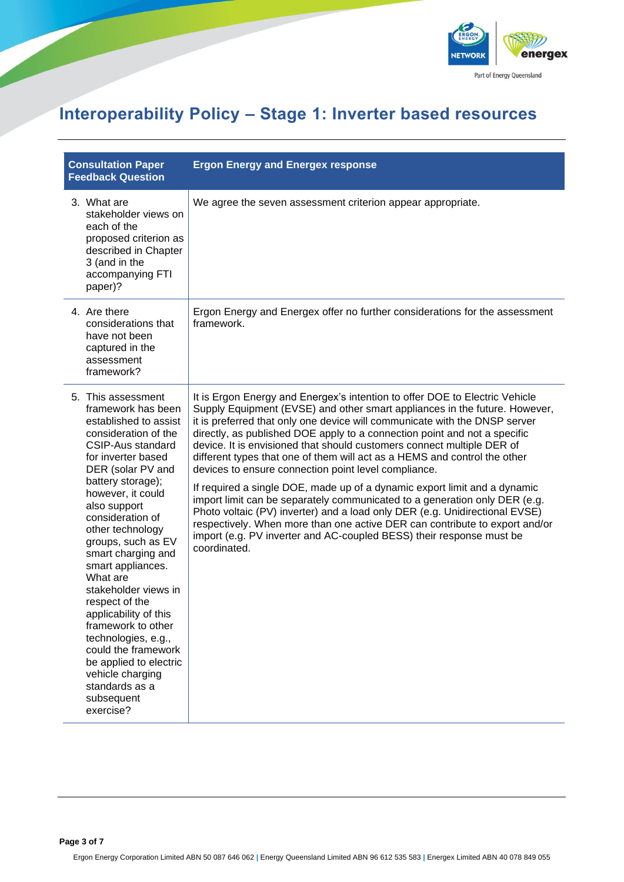

# **Interoperability Policy – Stage 1: Inverter based resources**

| <b>Consultation Paper</b><br><b>Feedback Question</b>                                                                                                                                                                                                                                                                                                                                                                                                                                                                                                                             | <b>Ergon Energy and Energex response</b>                                                                                                                                                                                                                                                                                                                                                                                                                                                                                                                                                                                                                                                                                                                                                                                                                                                                                                             |
|-----------------------------------------------------------------------------------------------------------------------------------------------------------------------------------------------------------------------------------------------------------------------------------------------------------------------------------------------------------------------------------------------------------------------------------------------------------------------------------------------------------------------------------------------------------------------------------|------------------------------------------------------------------------------------------------------------------------------------------------------------------------------------------------------------------------------------------------------------------------------------------------------------------------------------------------------------------------------------------------------------------------------------------------------------------------------------------------------------------------------------------------------------------------------------------------------------------------------------------------------------------------------------------------------------------------------------------------------------------------------------------------------------------------------------------------------------------------------------------------------------------------------------------------------|
| 3. What are<br>stakeholder views on<br>each of the<br>proposed criterion as<br>described in Chapter<br>3 (and in the<br>accompanying FTI<br>paper)?                                                                                                                                                                                                                                                                                                                                                                                                                               | We agree the seven assessment criterion appear appropriate.                                                                                                                                                                                                                                                                                                                                                                                                                                                                                                                                                                                                                                                                                                                                                                                                                                                                                          |
| 4. Are there<br>considerations that<br>have not been<br>captured in the<br>assessment<br>framework?                                                                                                                                                                                                                                                                                                                                                                                                                                                                               | Ergon Energy and Energex offer no further considerations for the assessment<br>framework.                                                                                                                                                                                                                                                                                                                                                                                                                                                                                                                                                                                                                                                                                                                                                                                                                                                            |
| 5. This assessment<br>framework has been<br>established to assist<br>consideration of the<br><b>CSIP-Aus standard</b><br>for inverter based<br>DER (solar PV and<br>battery storage);<br>however, it could<br>also support<br>consideration of<br>other technology<br>groups, such as EV<br>smart charging and<br>smart appliances.<br>What are<br>stakeholder views in<br>respect of the<br>applicability of this<br>framework to other<br>technologies, e.g.,<br>could the framework<br>be applied to electric<br>vehicle charging<br>standards as a<br>subsequent<br>exercise? | It is Ergon Energy and Energex's intention to offer DOE to Electric Vehicle<br>Supply Equipment (EVSE) and other smart appliances in the future. However,<br>it is preferred that only one device will communicate with the DNSP server<br>directly, as published DOE apply to a connection point and not a specific<br>device. It is envisioned that should customers connect multiple DER of<br>different types that one of them will act as a HEMS and control the other<br>devices to ensure connection point level compliance.<br>If required a single DOE, made up of a dynamic export limit and a dynamic<br>import limit can be separately communicated to a generation only DER (e.g.<br>Photo voltaic (PV) inverter) and a load only DER (e.g. Unidirectional EVSE)<br>respectively. When more than one active DER can contribute to export and/or<br>import (e.g. PV inverter and AC-coupled BESS) their response must be<br>coordinated. |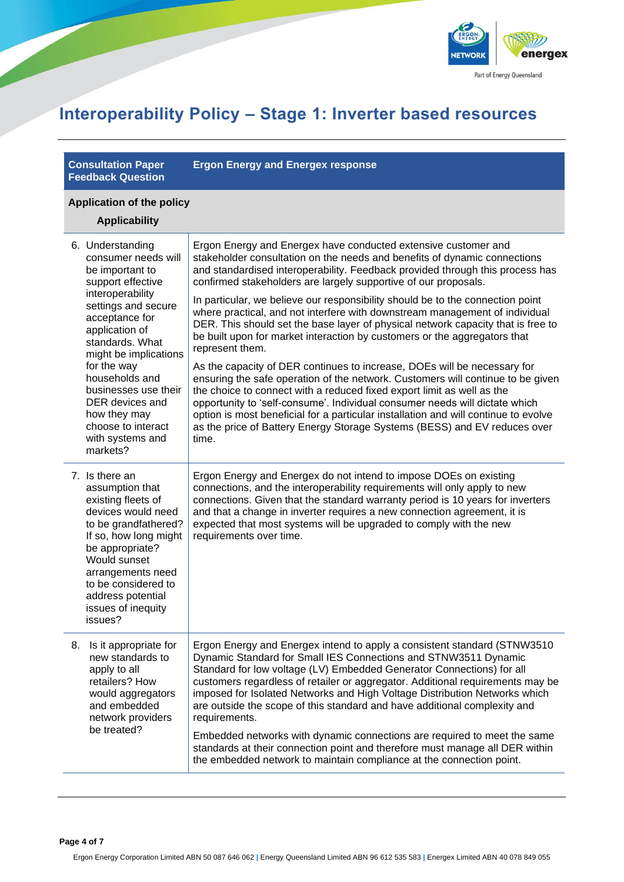

### **Interoperability Policy – Stage 1: Inverter based resources**

**Consultation Paper Feedback Question** **Ergon Energy and Energex response**

#### **Application of the policy**

|    | <b>Applicability</b>                                                                                                                                                                                                                                                                                                                                         |                                                                                                                                                                                                                                                                                                                                                                                                                                                                                                                                                                                                                                                                                                                        |  |
|----|--------------------------------------------------------------------------------------------------------------------------------------------------------------------------------------------------------------------------------------------------------------------------------------------------------------------------------------------------------------|------------------------------------------------------------------------------------------------------------------------------------------------------------------------------------------------------------------------------------------------------------------------------------------------------------------------------------------------------------------------------------------------------------------------------------------------------------------------------------------------------------------------------------------------------------------------------------------------------------------------------------------------------------------------------------------------------------------------|--|
|    | 6. Understanding<br>consumer needs will<br>be important to<br>support effective<br>interoperability<br>settings and secure<br>acceptance for<br>application of<br>standards. What<br>might be implications<br>for the way<br>households and<br>businesses use their<br>DER devices and<br>how they may<br>choose to interact<br>with systems and<br>markets? | Ergon Energy and Energex have conducted extensive customer and<br>stakeholder consultation on the needs and benefits of dynamic connections<br>and standardised interoperability. Feedback provided through this process has<br>confirmed stakeholders are largely supportive of our proposals.                                                                                                                                                                                                                                                                                                                                                                                                                        |  |
|    |                                                                                                                                                                                                                                                                                                                                                              | In particular, we believe our responsibility should be to the connection point<br>where practical, and not interfere with downstream management of individual<br>DER. This should set the base layer of physical network capacity that is free to<br>be built upon for market interaction by customers or the aggregators that<br>represent them.                                                                                                                                                                                                                                                                                                                                                                      |  |
|    |                                                                                                                                                                                                                                                                                                                                                              | As the capacity of DER continues to increase, DOEs will be necessary for<br>ensuring the safe operation of the network. Customers will continue to be given<br>the choice to connect with a reduced fixed export limit as well as the<br>opportunity to 'self-consume'. Individual consumer needs will dictate which<br>option is most beneficial for a particular installation and will continue to evolve<br>as the price of Battery Energy Storage Systems (BESS) and EV reduces over<br>time.                                                                                                                                                                                                                      |  |
|    | 7. Is there an<br>assumption that<br>existing fleets of<br>devices would need<br>to be grandfathered?<br>If so, how long might<br>be appropriate?<br>Would sunset<br>arrangements need<br>to be considered to<br>address potential<br>issues of inequity<br>issues?                                                                                          | Ergon Energy and Energex do not intend to impose DOEs on existing<br>connections, and the interoperability requirements will only apply to new<br>connections. Given that the standard warranty period is 10 years for inverters<br>and that a change in inverter requires a new connection agreement, it is<br>expected that most systems will be upgraded to comply with the new<br>requirements over time.                                                                                                                                                                                                                                                                                                          |  |
| 8. | Is it appropriate for<br>new standards to<br>apply to all<br>retailers? How<br>would aggregators<br>and embedded<br>network providers<br>be treated?                                                                                                                                                                                                         | Ergon Energy and Energex intend to apply a consistent standard (STNW3510<br>Dynamic Standard for Small IES Connections and STNW3511 Dynamic<br>Standard for low voltage (LV) Embedded Generator Connections) for all<br>customers regardless of retailer or aggregator. Additional requirements may be<br>imposed for Isolated Networks and High Voltage Distribution Networks which<br>are outside the scope of this standard and have additional complexity and<br>requirements.<br>Embedded networks with dynamic connections are required to meet the same<br>standards at their connection point and therefore must manage all DER within<br>the embedded network to maintain compliance at the connection point. |  |
|    |                                                                                                                                                                                                                                                                                                                                                              |                                                                                                                                                                                                                                                                                                                                                                                                                                                                                                                                                                                                                                                                                                                        |  |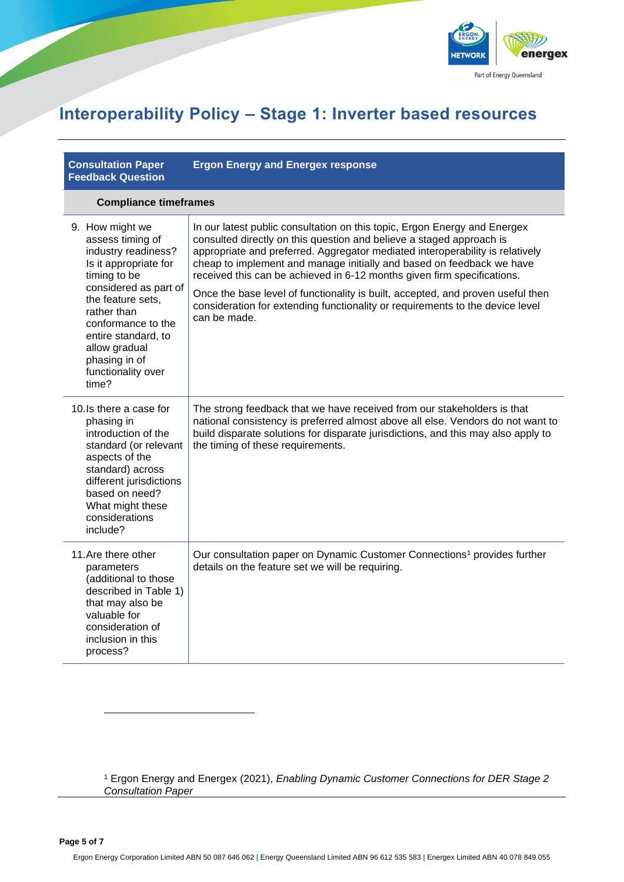

### **Interoperability Policy – Stage 1: Inverter based resources**

#### **Consultation Paper Feedback Question**

**Ergon Energy and Energex response**

#### **Compliance timeframes**

| 9. How might we<br>assess timing of<br>industry readiness?<br>Is it appropriate for<br>timing to be<br>considered as part of<br>the feature sets,<br>rather than<br>conformance to the<br>entire standard, to<br>allow gradual<br>phasing in of<br>functionality over<br>time? | In our latest public consultation on this topic, Ergon Energy and Energex<br>consulted directly on this question and believe a staged approach is<br>appropriate and preferred. Aggregator mediated interoperability is relatively<br>cheap to implement and manage initially and based on feedback we have<br>received this can be achieved in 6-12 months given firm specifications.<br>Once the base level of functionality is built, accepted, and proven useful then<br>consideration for extending functionality or requirements to the device level<br>can be made. |
|--------------------------------------------------------------------------------------------------------------------------------------------------------------------------------------------------------------------------------------------------------------------------------|----------------------------------------------------------------------------------------------------------------------------------------------------------------------------------------------------------------------------------------------------------------------------------------------------------------------------------------------------------------------------------------------------------------------------------------------------------------------------------------------------------------------------------------------------------------------------|
| 10. Is there a case for<br>phasing in<br>introduction of the<br>standard (or relevant<br>aspects of the<br>standard) across<br>different jurisdictions<br>based on need?<br>What might these<br>considerations<br>include?                                                     | The strong feedback that we have received from our stakeholders is that<br>national consistency is preferred almost above all else. Vendors do not want to<br>build disparate solutions for disparate jurisdictions, and this may also apply to<br>the timing of these requirements.                                                                                                                                                                                                                                                                                       |
| 11. Are there other<br>parameters<br>(additional to those<br>described in Table 1)<br>that may also be<br>valuable for<br>consideration of<br>inclusion in this<br>process?                                                                                                    | Our consultation paper on Dynamic Customer Connections <sup>1</sup> provides further<br>details on the feature set we will be requiring.                                                                                                                                                                                                                                                                                                                                                                                                                                   |

<sup>1</sup> Ergon Energy and Energex (2021), *Enabling Dynamic Customer Connections for DER Stage 2 Consultation Paper*

**Page 5 of 7**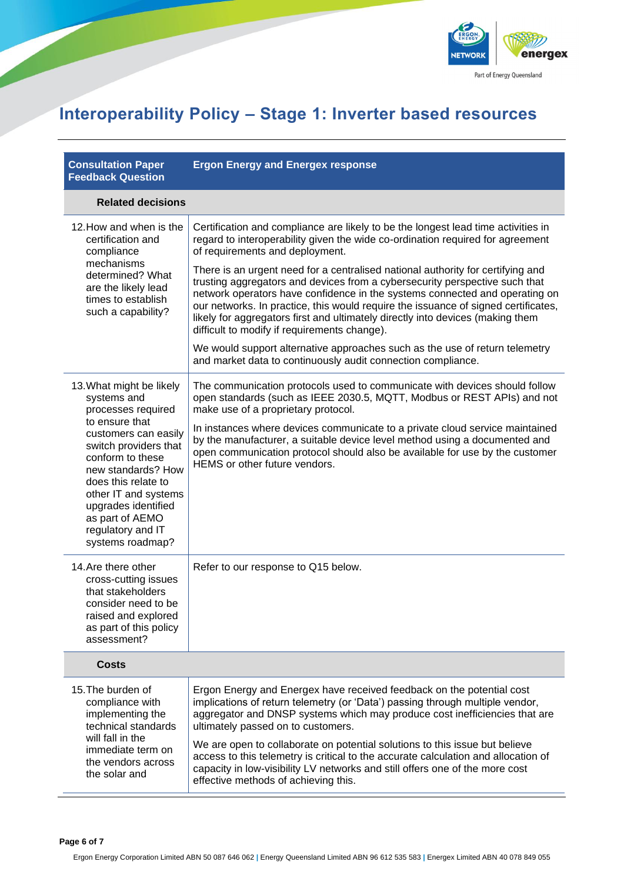

# **Interoperability Policy – Stage 1: Inverter based resources**

| <b>Consultation Paper</b><br><b>Feedback Question</b>                                                                                                                                                                                                                                                        | <b>Ergon Energy and Energex response</b>                                                                                                                                                                                                                                                                                                                                                                                                                                                                                                                                                                                                                                                                                                                                                                                       |  |
|--------------------------------------------------------------------------------------------------------------------------------------------------------------------------------------------------------------------------------------------------------------------------------------------------------------|--------------------------------------------------------------------------------------------------------------------------------------------------------------------------------------------------------------------------------------------------------------------------------------------------------------------------------------------------------------------------------------------------------------------------------------------------------------------------------------------------------------------------------------------------------------------------------------------------------------------------------------------------------------------------------------------------------------------------------------------------------------------------------------------------------------------------------|--|
| <b>Related decisions</b>                                                                                                                                                                                                                                                                                     |                                                                                                                                                                                                                                                                                                                                                                                                                                                                                                                                                                                                                                                                                                                                                                                                                                |  |
| 12. How and when is the<br>certification and<br>compliance<br>mechanisms<br>determined? What<br>are the likely lead<br>times to establish<br>such a capability?                                                                                                                                              | Certification and compliance are likely to be the longest lead time activities in<br>regard to interoperability given the wide co-ordination required for agreement<br>of requirements and deployment.<br>There is an urgent need for a centralised national authority for certifying and<br>trusting aggregators and devices from a cybersecurity perspective such that<br>network operators have confidence in the systems connected and operating on<br>our networks. In practice, this would require the issuance of signed certificates,<br>likely for aggregators first and ultimately directly into devices (making them<br>difficult to modify if requirements change).<br>We would support alternative approaches such as the use of return telemetry<br>and market data to continuously audit connection compliance. |  |
| 13. What might be likely<br>systems and<br>processes required<br>to ensure that<br>customers can easily<br>switch providers that<br>conform to these<br>new standards? How<br>does this relate to<br>other IT and systems<br>upgrades identified<br>as part of AEMO<br>regulatory and IT<br>systems roadmap? | The communication protocols used to communicate with devices should follow<br>open standards (such as IEEE 2030.5, MQTT, Modbus or REST APIs) and not<br>make use of a proprietary protocol.<br>In instances where devices communicate to a private cloud service maintained<br>by the manufacturer, a suitable device level method using a documented and<br>open communication protocol should also be available for use by the customer<br>HEMS or other future vendors.                                                                                                                                                                                                                                                                                                                                                    |  |
| 14. Are there other<br>cross-cutting issues<br>that stakeholders<br>consider need to be<br>raised and explored<br>as part of this policy<br>assessment?                                                                                                                                                      | Refer to our response to Q15 below.                                                                                                                                                                                                                                                                                                                                                                                                                                                                                                                                                                                                                                                                                                                                                                                            |  |
| <b>Costs</b>                                                                                                                                                                                                                                                                                                 |                                                                                                                                                                                                                                                                                                                                                                                                                                                                                                                                                                                                                                                                                                                                                                                                                                |  |
| 15. The burden of<br>compliance with<br>implementing the<br>technical standards<br>will fall in the<br>immediate term on<br>the vendors across<br>the solar and                                                                                                                                              | Ergon Energy and Energex have received feedback on the potential cost<br>implications of return telemetry (or 'Data') passing through multiple vendor,<br>aggregator and DNSP systems which may produce cost inefficiencies that are<br>ultimately passed on to customers.<br>We are open to collaborate on potential solutions to this issue but believe<br>access to this telemetry is critical to the accurate calculation and allocation of<br>capacity in low-visibility LV networks and still offers one of the more cost<br>effective methods of achieving this.                                                                                                                                                                                                                                                        |  |

**Page 6 of 7**